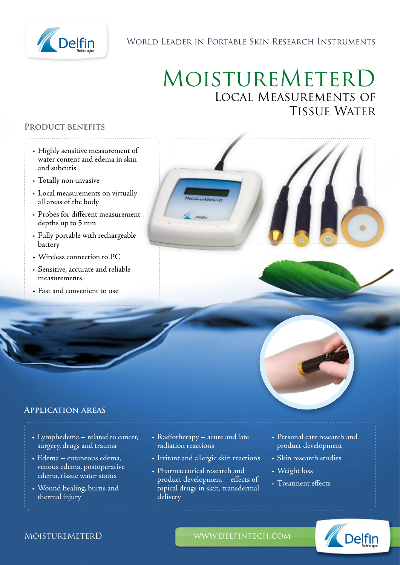

### World Leader in Portable Skin Research Instruments

# MoistureMeterD Local Measurements of Tissue Water

#### **Product benefits**

- Highly sensitive measurement of water content and edema in skin and subcutis
- Totally non-invasive
- Local measurements on virtually all areas of the body
- Probes for different measurement depths up to 5 mm
- Fully portable with rechargeable battery
- Wireless connection to PC
- Sensitive, accurate and reliable measurements
- Fast and convenient to use





#### **Application areas**

- Lymphedema related to cancer, surgery, drugs and trauma
- Edema cutaneous edema, venous edema, postoperative edema, tissue water status
- Wound healing, burns and thermal injury
- Radiotherapy acute and late radiation reactions
- Irritant and allergic skin reactions
- Pharmaceutical research and product development – effects of topical drugs in skin, transdermal delivery
- Personal care research and product development
- Skin research studies
- Weight loss
- Treatment effects



#### MOISTUREMETERD WWW.DELFINTECH.COM